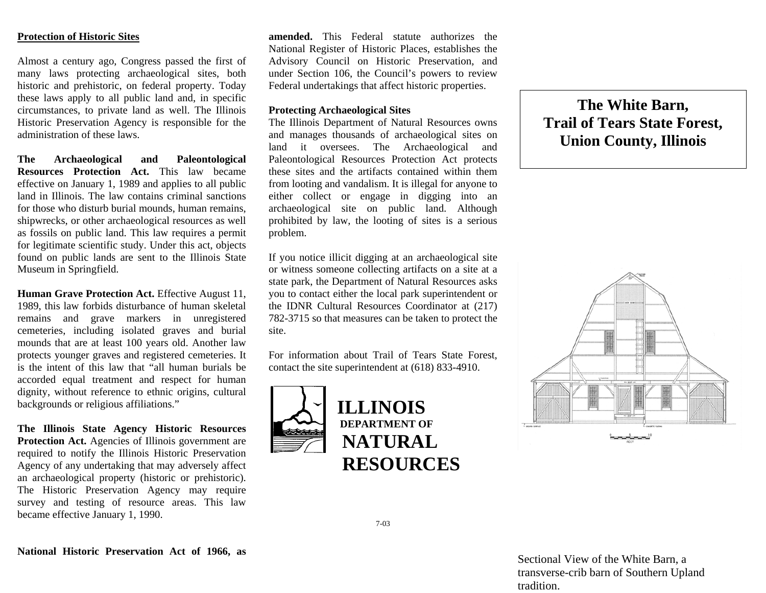## **Protection of Historic Sites**

Almost a century ago, Congress passed the first of many laws protecting archaeological sites, both historic and prehistoric, on federal property. Today these laws apply to all public land and, in specific circumstances, to private land as well. The Illinois Historic Preservation Agency is responsible for the administration of these laws.

**The Archaeological and Paleontological Resources Protection Act.** This law becameeffective on January 1, 1989 and applies to all public land in Illinois. The law contains criminal sanctions for those who disturb burial mounds, human remains, shipwrecks, or other archaeological resources as well as fossils on public land. This law requires a permit for legitimate scientific study. Under this act, objects found on public lands are sent to the Illinois State Museum in Springfield.

**Human Grave Protection Act.** Effective August 11, 1989, this law forbids disturbance of human skeletal remains and grave markers in unregistered cemeteries, including isolated graves and burial mounds that are at least 100 years old. Another law protects younger graves and registered cemeteries. It is the intent of this law that "all human burials be accorded equal treatment and respect for human dignity, without reference to ethnic origins, cultural backgrounds or religious affiliations."

**The Illinois State Agency Historic Resources**  Protection Act. Agencies of Illinois government are required to notify the Illinois Historic Preservation Agency of any undertaking that may adversely affect an archaeological property (historic or prehistoric). The Historic Preservation Agency may require survey and testing of resource areas. This law became effective January 1, 1990.

**amended.** This Federal statute authorizes the National Register of Historic Places, establishes the Advisory Council on Historic Preservation, and under Section 106, the Council's powers to review Federal undertakings that affect historic properties.

## **Protecting Archaeological Sites**

The Illinois Department of Natural Resources owns and manages thousands of archaeological sites on land it oversees. The Archaeological and Paleontological Resources Protection Act protects these sites and the artifacts contained within themfrom looting and vandalism. It is illegal for anyone to either collect or engage in digging into an archaeological site on public land. Although prohibited by law, the looting of sites is a serious problem.

If you notice illicit digging at an archaeological site or witness someone collecting artifacts on a site at a state park, the Department of Natural Resources asks you to contact either the local park superintendent or the IDNR Cultural Resources Coordinator at (217) 782-3715 so that measures can be taken to protect the site.

For information about Trail of Tears State Forest, contact the site superintendent at (618) 833-4910.



## **The White Barn, Trail of Tears State Forest, Union County, Illinois**



7-03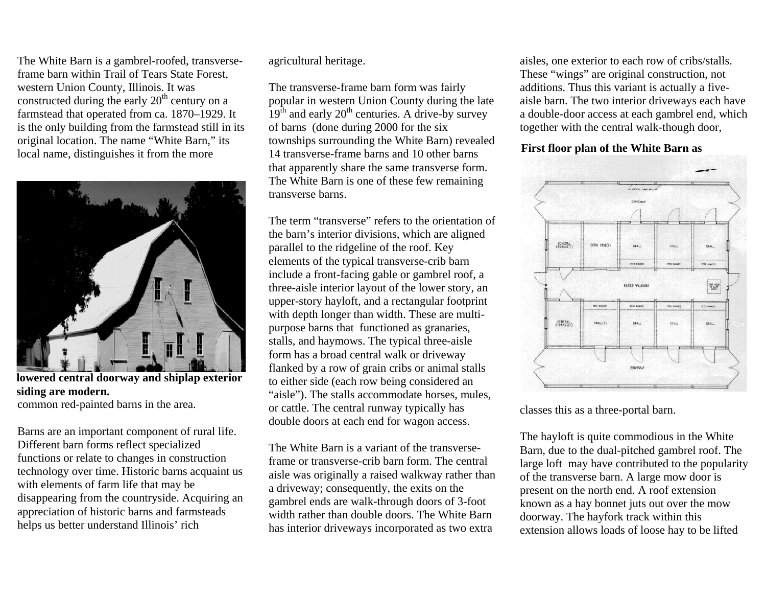The W hite Barn is a gambrel-roofed, transverseframe barn within Trail of Tears State Forest, western Union County, Illinois. It was constructed during the early  $20<sup>th</sup>$  century on a far mstead that operated from ca. 1870–1929. It is the only b uilding from the farmstead still in its original location. The na me " White Barn," its local nam e, distinguishes it from the more



**lowered central doorw a y and shiplap exterior siding are modern.** 

common red-painted barns in the area.

Barns are an important co mponent of rural life. Different barn forms reflect specialized functions or relate to changes in construction technology over tim e. Historic barns acquaint us with elements of farm life that may be disappearing from the countryside. Acquiring an appreciation of historic barns and farmsteads helps us better understand Illinois' rich

agricultural heritage.

The transverse-fram e barn form was fairly popular in western Union County during the late  $19<sup>th</sup>$  and early  $20<sup>th</sup>$  centuries. A drive-by survey of barns (done during 2000 for the six townships surrounding the W hite Barn) revealed 14 transverse-frame barns and 10 other barns that app arently share the sam e transverse form. The W hite Barn is one of these few rem aining transverse barns.

The term "transverse" refers to the orientation of the barn's interior divisions, which are aligned parallel to the ridgeline of the roof. Key elements of the typical transverse-crib barn include a front-facing gable or gambrel roof, a three-aisle interior layout of the low er story, an upper-story hayloft, and a rectangular footprint with depth longer than width. These are m ultipurpose barns that functioned as granaries, stalls, and haymows. The typical three-aisle for m has a broad central walk or driveway flanked by a row of grain cribs or animal stalls to either sid e (each row being considered an "aisle"). The stalls accommodate horses, m ules, or cattle. The central run way typically has double doors at each end for wagon access.

The White Barn is a variant of the transverseframe or transverse-crib barn form. The central aisle was originally a raised walkway rather than a driveway; consequently, the exits o n the gambrel ends are walk-through doors of 3-foot width rather than double doors. The White Barn has interior driveways incorporated as two extra

aisles, one exterior to each row of cribs/stalls. These "wings" are original construction, not additions. Thus this variant is actually a fiveaisle barn. The two interior driveways each have a double-door access at each gambrel end, which together with the central walk-though door,

**First floor plan of the White Barn as** 



classes this as a three-portal barn.

The hayloft is quite commodious in the W hite Barn, due to the dual-pitched gambrel roof. The large loft may have contributed to the popularity of the transverse barn. A large m ow door is present on the north end. A roof extension known as a hay bonnet juts out over the m ow doorway. The hayfork track within this extension allows loads of loose hay to be lifted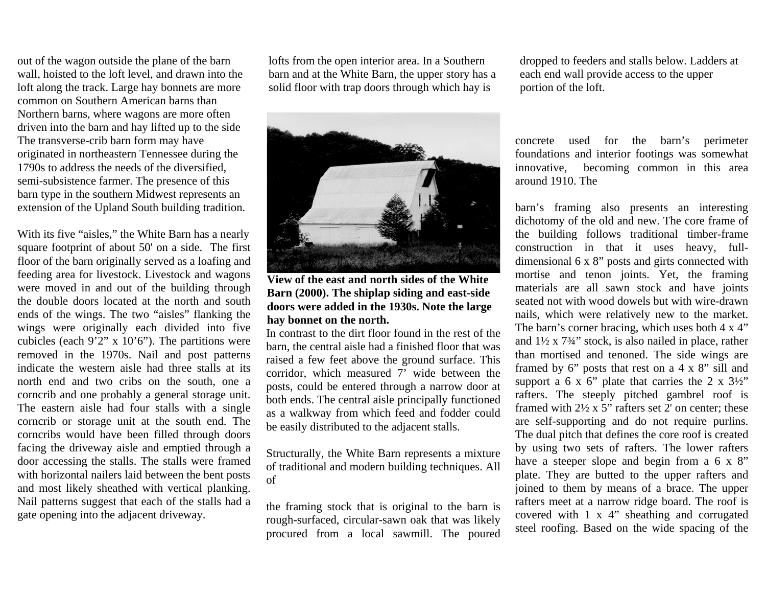out of the wagon outside the plane of the barn wall, hoisted to the loft level, and drawn into the loft along the track. Large hay bonnets are m ore common on Southern American barns than Northern barns, where wagons are more often driven into the barn and hay lifted up to the side The transverse-crib barn for m may have originated in northeastern Tennessee during the 1790s to address the needs of the diversified, semi-subsistence farmer. The presence of this barn type in the southern Midwest represents an extension of the Upland South building tradition.

With its five "aisles," the W hite Barn has a nearly square footprint of about 50' on a side. The first floor of the barn originally served as a loafing and feeding area for livestock. Livestock and wagons were moved in and out of the building through the double doors located at the north and south ends of the wings. The two "aisles" flanking the wings were originally each divided into five cubicles (each  $9'2''$  x  $10'6'$ ). The partitions were removed in the 1970s. Nail and post patterns indicate the western aisle had three stalls at itsnorth end and two cribs on the south, one a corncrib and one probably a general storage unit. The eastern aisle had four stalls with a single corncrib or storage unit at the south end. The corncribs would have been filled through doors facing the driveway aisle and emptied through a door accessing the stalls. The stalls were fram e d with horizontal nailers laid between the bent posts and m ost likely sheathed with vertical planking. Nail patterns suggest that each of the stalls h a d a gate openin g into the adjacent driveway.

lofts from the open interior area. In a Southern barn and at the White Barn, the upper story has a solid floor with trap doors through w hich hay is



**View of the east and north sides of the White Barn (2000). The shiplap siding and east-side doors were added in the 1930s. Note the large hay bonnet on the north.**

In contrast to the dirt floor found in the rest of the barn, the central aisle had a finished floor that was raised a few feet above the ground surface. This corridor, which measured 7' wide between the posts, could be entered through a narrow door at both ends. The central aisle principally functioned as a walkway from which feed and fodder could be easily distributed to the adjacent stalls.

Structurally, the W hite Barn represents a mixture of tradition al and modern building techniques. All of

the framing stock that is original to the barn is rough-surfaced, circular-sawn oak that was likely procured from a local sawmill. The poured dropped to feeders and stalls below. Ladders at each end wall provide access to the upper portion of the loft.

concrete used for the barn's perim eter foundations and interior footings was som ewhat innovative, becoming common in this area around 1910. The

barn's framing also presents an interesting dichotomy of the old and new. The core frame of the building follows tradition al timber-frame construction in that it uses heavy, fulldim ensional 6 x 8" posts and girts connected with mortise and tenon joints. Yet, the fra ming m aterials are all sawn stock and have joints seated not with wood dowels but with wire-drawn nails, which were relatively new to the m arket. The barn's corner bracing, which uses both 4 x 4" and  $1\frac{1}{2} \times 7\frac{3}{4}$  stock, is also nailed in place, rather than m ortised and tenoned. The side wings are fra med by 6" posts that rest on a 4 x 8" sill and support a 6 x 6" plate that carries the 2 x  $3\frac{1}{2}$ " rafters. The steeply pitched gambrel roof is framed with 2½ x 5" rafters set 2' on center; these are self-supporting and do not require purlins. The dual pitch that defines the core roof is created by using two sets of rafters. The l ower rafters have a steeper slope and begin from a 6 x 8" plate. They are butted to the upper rafters and joined to them by mea ns of a brace. The upper rafters m eet at a n arrow ridge board. The roof is covered with 1 x 4" s heathing and corrugated steel roofing. Based on the wide spacing of the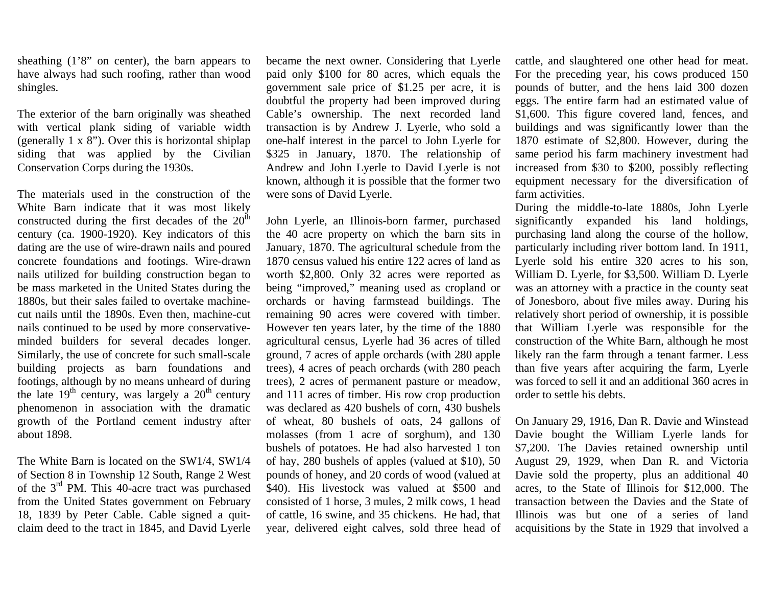sheathing (1'8" on center), the barn appears to have always had such roofing, rather than wood shingles.

The exterior of the barn originally was sheathed with vertical plank siding of variable width (generally 1 x 8"). Over this is horizontal shiplap siding that was applied by the Civilian Conservation Corps during the 1930s.

The materials used in the construction of the White Barn indicate that it was most likely constructed during the first decades of the  $20<sup>th</sup>$ century (ca. 1900-1920). Key indicators of this dating are the use of wire-drawn nails and poured concrete foundations and footings. Wire-drawn nails utilized for building construction began to be mass marketed in the United States during the 1880s, but their sales failed to overtake machinecut nails until the 1890s. Even then, machine-cut nails continued to be used by more conservativeminded builders for several decades longer. Similarly, the use of concrete for such small-scale building projects as barn foundations and footings, although by no means unheard of during the late  $19<sup>th</sup>$  century, was largely a  $20<sup>th</sup>$  century phenomenon in association with the dramatic growth of the Portland cement industry after about 1898.

The White Barn is located on the SW1/4, SW1/4 of Section 8 in Township 12 South, Range 2 West of the  $3<sup>rd</sup>$  PM. This 40-acre tract was purchased from the United States government on February 18, 1839 by Peter Cable. Cable signed a quitclaim deed to the tract in 1845, and David Lyerle became the next owner. Considering that Lyerle paid only \$100 for 80 acres, which equals the government sale price of \$1.25 per acre, it is doubtful the property had been improved during Cable's ownership. The next recorded land transaction is by Andrew J. Lyerle, who sold a one-half interest in the parcel to John Lyerle for \$325 in January, 1870. The relationship of Andrew and John Lyerle to David Lyerle is not known, although it is possible that the former two were sons of David Lyerle.

John Lyerle, an Illinois-born farmer, purchased the 40 acre property on which the barn sits in January, 1870. The agricultural schedule from the 1870 census valued his entire 122 acres of land as worth \$2,800. Only 32 acres were reported as being "improved," meaning used as cropland or orchards or having farmstead buildings. The remaining 90 acres were covered with timber. However ten years later, by the time of the 1880 agricultural census, Lyerle had 36 acres of tilled ground, 7 acres of apple orchards (with 280 apple trees), 4 acres of peach orchards (with 280 peach trees), 2 acres of permanent pasture or meadow, and 111 acres of timber. His row crop production was declared as 420 bushels of corn, 430 bushels of wheat, 80 bushels of oats, 24 gallons of molasses (from 1 acre of sorghum), and 130 bushels of potatoes. He had also harvested 1 ton of hay, 280 bushels of apples (valued at \$10), 50 pounds of honey, and 20 cords of wood (valued at \$40). His livestock was valued at \$500 and consisted of 1 horse, 3 mules, 2 milk cows, 1 head of cattle, 16 swine, and 35 chickens. He had, that year, delivered eight calves, sold three head of

cattle, and slaughtered one other head for meat. For the preceding year, his cows produced 150 pounds of butter, and the hens laid 300 dozen eggs. The entire farm had an estimated value of \$1,600. This figure covered land, fences, and buildings and was significantly lower than the 1870 estimate of \$2,800. However, during the same period his farm machinery investment had increased from \$30 to \$200, possibly reflecting equipment necessary for the diversification of farm activities.

During the middle-to-late 1880s, John Lyerle significantly expanded his land holdings, purchasing land along the course of the hollow, particularly including river bottom land. In 1911, Lyerle sold his entire 320 acres to his son, William D. Lyerle, for \$3,500. William D. Lyerle was an attorney with a practice in the county seat of Jonesboro, about five miles away. During his relatively short period of ownership, it is possible that William Lyerle was responsible for the construction of the White Barn, although he most likely ran the farm through a tenant farmer. Less than five years after acquiring the farm, Lyerle was forced to sell it and an additional 360 acres in order to settle his debts.

On January 29, 1916, Dan R. Davie and Winstead Davie bought the William Lyerle lands for \$7,200. The Davies retained ownership until August 29, 1929, when Dan R. and Victoria Davie sold the property, plus an additional 40 acres, to the State of Illinois for \$12,000. The transaction between the Davies and the State of Illinois was but one of a series of land acquisitions by the State in 1929 that involved a